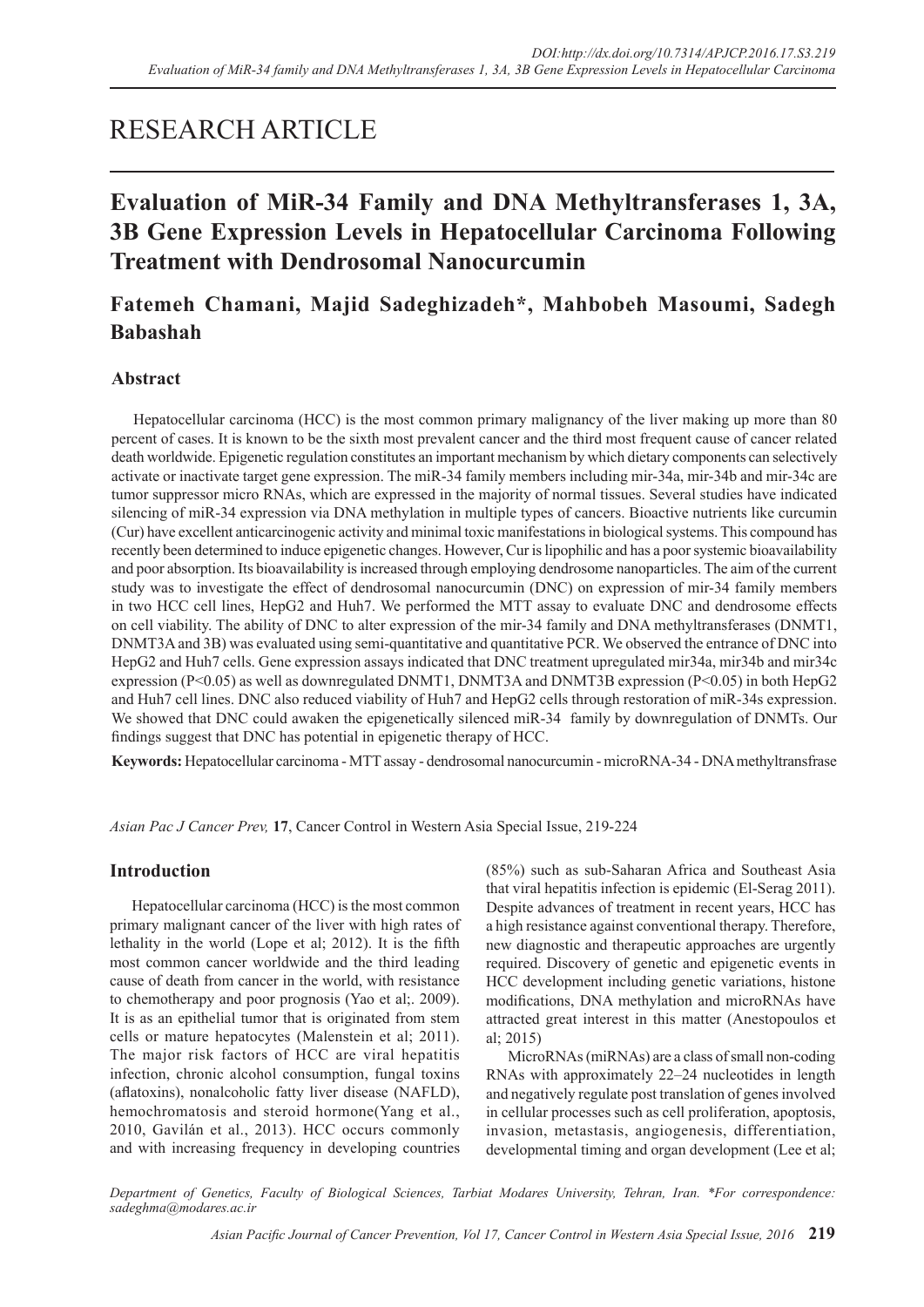# RESEARCH ARTICLE

# **Evaluation of MiR-34 Family and DNA Methyltransferases 1, 3A, 3B Gene Expression Levels in Hepatocellular Carcinoma Following Treatment with Dendrosomal Nanocurcumin**

# **Fatemeh Chamani, Majid Sadeghizadeh\*, Mahbobeh Masoumi, Sadegh Babashah**

# **Abstract**

Hepatocellular carcinoma (HCC) is the most common primary malignancy of the liver making up more than 80 percent of cases. It is known to be the sixth most prevalent cancer and the third most frequent cause of cancer related death worldwide. Epigenetic regulation constitutes an important mechanism by which dietary components can selectively activate or inactivate target gene expression. The miR-34 family members including mir-34a, mir-34b and mir-34c are tumor suppressor micro RNAs, which are expressed in the majority of normal tissues. Several studies have indicated silencing of miR-34 expression via DNA methylation in multiple types of cancers. Bioactive nutrients like curcumin (Cur) have excellent anticarcinogenic activity and minimal toxic manifestations in biological systems. This compound has recently been determined to induce epigenetic changes. However, Cur is lipophilic and has a poor systemic bioavailability and poor absorption. Its bioavailability is increased through employing dendrosome nanoparticles. The aim of the current study was to investigate the effect of dendrosomal nanocurcumin (DNC) on expression of mir-34 family members in two HCC cell lines, HepG2 and Huh7. We performed the MTT assay to evaluate DNC and dendrosome effects on cell viability. The ability of DNC to alter expression of the mir-34 family and DNA methyltransferases (DNMT1, DNMT3A and 3B) was evaluated using semi-quantitative and quantitative PCR. We observed the entrance of DNC into HepG2 and Huh7 cells. Gene expression assays indicated that DNC treatment upregulated mir34a, mir34b and mir34c expression (P<0.05) as well as downregulated DNMT1, DNMT3A and DNMT3B expression (P<0.05) in both HepG2 and Huh7 cell lines. DNC also reduced viability of Huh7 and HepG2 cells through restoration of miR-34s expression. We showed that DNC could awaken the epigenetically silenced miR-34 family by downregulation of DNMTs. Our findings suggest that DNC has potential in epigenetic therapy of HCC.

**Keywords:** Hepatocellular carcinoma - MTT assay - dendrosomal nanocurcumin - microRNA-34 - DNA methyltransfrase

*Asian Pac J Cancer Prev,* **17**, Cancer Control in Western Asia Special Issue, 219-224

## **Introduction**

Hepatocellular carcinoma (HCC) is the most common primary malignant cancer of the liver with high rates of lethality in the world (Lope et al; 2012). It is the fifth most common cancer worldwide and the third leading cause of death from cancer in the world, with resistance to chemotherapy and poor prognosis (Yao et al;. 2009). It is as an epithelial tumor that is originated from stem cells or mature hepatocytes (Malenstein et al; 2011). The major risk factors of HCC are viral hepatitis infection, chronic alcohol consumption, fungal toxins (aflatoxins), nonalcoholic fatty liver disease (NAFLD), hemochromatosis and steroid hormone(Yang et al., 2010, Gavilán et al., 2013). HCC occurs commonly and with increasing frequency in developing countries (85%) such as sub-Saharan Africa and Southeast Asia that viral hepatitis infection is epidemic (El-Serag 2011). Despite advances of treatment in recent years, HCC has a high resistance against conventional therapy. Therefore, new diagnostic and therapeutic approaches are urgently required. Discovery of genetic and epigenetic events in HCC development including genetic variations, histone modifications, DNA methylation and microRNAs have attracted great interest in this matter (Anestopoulos et al; 2015)

MicroRNAs (miRNAs) are a class of small non-coding RNAs with approximately 22–24 nucleotides in length and negatively regulate post translation of genes involved in cellular processes such as cell proliferation, apoptosis, invasion, metastasis, angiogenesis, differentiation, developmental timing and organ development (Lee et al;

*Department of Genetics, Faculty of Biological Sciences, Tarbiat Modares University, Tehran, Iran. \*For correspondence: sadeghma@modares.ac.ir*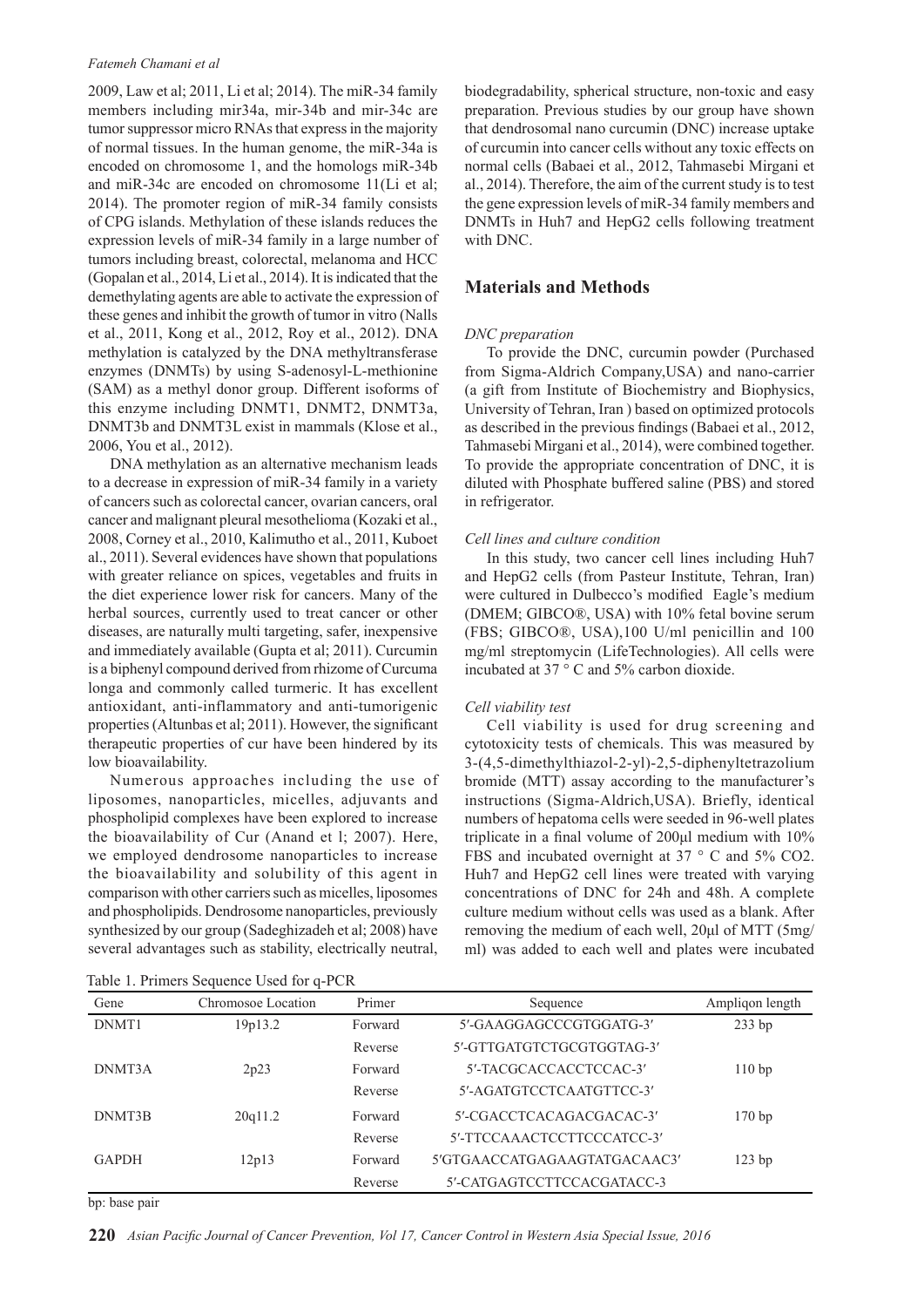#### *Fatemeh Chamani et al*

2009, Law et al; 2011, Li et al; 2014). The miR-34 family members including mir34a, mir-34b and mir-34c are tumor suppressor micro RNAs that express in the majority of normal tissues. In the human genome, the miR-34a is encoded on chromosome 1, and the homologs miR-34b and miR-34c are encoded on chromosome 11(Li et al; 2014). The promoter region of miR-34 family consists of CPG islands. Methylation of these islands reduces the expression levels of miR-34 family in a large number of tumors including breast, colorectal, melanoma and HCC (Gopalan et al., 2014, Li et al., 2014). It is indicated that the demethylating agents are able to activate the expression of these genes and inhibit the growth of tumor in vitro (Nalls et al., 2011, Kong et al., 2012, Roy et al., 2012). DNA methylation is catalyzed by the DNA methyltransferase enzymes (DNMTs) by using S-adenosyl-L-methionine (SAM) as a methyl donor group. Different isoforms of this enzyme including DNMT1, DNMT2, DNMT3a, DNMT3b and DNMT3L exist in mammals (Klose et al., 2006, You et al., 2012).

DNA methylation as an alternative mechanism leads to a decrease in expression of miR-34 family in a variety of cancers such as colorectal cancer, ovarian cancers, oral cancer and malignant pleural mesothelioma (Kozaki et al., 2008, Corney et al., 2010, Kalimutho et al., 2011, Kuboet al., 2011). Several evidences have shown that populations with greater reliance on spices, vegetables and fruits in the diet experience lower risk for cancers. Many of the herbal sources, currently used to treat cancer or other diseases, are naturally multi targeting, safer, inexpensive and immediately available (Gupta et al; 2011). Curcumin is a biphenyl compound derived from rhizome of Curcuma longa and commonly called turmeric. It has excellent antioxidant, anti-inflammatory and anti-tumorigenic properties (Altunbas et al; 2011). However, the significant therapeutic properties of cur have been hindered by its low bioavailability.

Numerous approaches including the use of liposomes, nanoparticles, micelles, adjuvants and phospholipid complexes have been explored to increase the bioavailability of Cur (Anand et l; 2007). Here, we employed dendrosome nanoparticles to increase the bioavailability and solubility of this agent in comparison with other carriers such as micelles, liposomes and phospholipids. Dendrosome nanoparticles, previously synthesized by our group (Sadeghizadeh et al; 2008) have several advantages such as stability, electrically neutral,

Table 1. Primers Sequence Used for q-PCR

biodegradability, spherical structure, non-toxic and easy preparation. Previous studies by our group have shown that dendrosomal nano curcumin (DNC) increase uptake of curcumin into cancer cells without any toxic effects on normal cells (Babaei et al., 2012, Tahmasebi Mirgani et al., 2014). Therefore, the aim of the current study is to test the gene expression levels of miR-34 family members and DNMTs in Huh7 and HepG2 cells following treatment with DNC.

## **Materials and Methods**

#### *DNC preparation*

To provide the DNC, curcumin powder (Purchased from Sigma-Aldrich Company,USA) and nano-carrier (a gift from Institute of Biochemistry and Biophysics, University of Tehran, Iran ) based on optimized protocols as described in the previous findings (Babaei et al., 2012, Tahmasebi Mirgani et al., 2014), were combined together. To provide the appropriate concentration of DNC, it is diluted with Phosphate buffered saline (PBS) and stored in refrigerator.

### *Cell lines and culture condition*

In this study, two cancer cell lines including Huh7 and HepG2 cells (from Pasteur Institute, Tehran, Iran) were cultured in Dulbecco's modified Eagle's medium (DMEM; GIBCO®, USA) with 10% fetal bovine serum (FBS; GIBCO®, USA),100 U/ml penicillin and 100 mg/ml streptomycin (LifeTechnologies). All cells were incubated at 37 ° C and 5% carbon dioxide.

### *Cell viability test*

Cell viability is used for drug screening and cytotoxicity tests of chemicals. This was measured by 3-(4,5-dimethylthiazol-2-yl)-2,5-diphenyltetrazolium bromide (MTT) assay according to the manufacturer's instructions (Sigma-Aldrich,USA). Briefly, identical numbers of hepatoma cells were seeded in 96-well plates triplicate in a final volume of 200μl medium with 10% FBS and incubated overnight at 37 ° C and 5% CO2. Huh7 and HepG2 cell lines were treated with varying concentrations of DNC for 24h and 48h. A complete culture medium without cells was used as a blank. After removing the medium of each well, 20μl of MTT (5mg/ ml) was added to each well and plates were incubated

| Gene         | Chromosoe Location | Primer  | Ampligon length<br>Sequence  |        |
|--------------|--------------------|---------|------------------------------|--------|
| DNMT1        | 19p13.2            | Forward | 5'-GAAGGAGCCCGTGGATG-3'      | 233 bp |
|              |                    | Reverse | 5'-GTTGATGTCTGCGTGGTAG-3'    |        |
| DNMT3A       | 2p23               | Forward | 5'-TACGCACCACCTCCAC-3'       | 110bp  |
|              |                    | Reverse | 5'-AGATGTCCTCAATGTTCC-3'     |        |
| DNMT3B       | 20q11.2            | Forward | 5'-CGACCTCACAGACGACAC-3'     | 170bp  |
|              |                    | Reverse | 5'-TTCCAAACTCCTTCCCATCC-3'   |        |
| <b>GAPDH</b> | 12p13              | Forward | 5'GTGAACCATGAGAAGTATGACAAC3' | 123bp  |
|              |                    | Reverse | 5'-CATGAGTCCTTCCACGATACC-3   |        |

bp: base pair

**220** *Asian Pacific Journal of Cancer Prevention, Vol 17, Cancer Control in Western Asia Special Issue, 2016*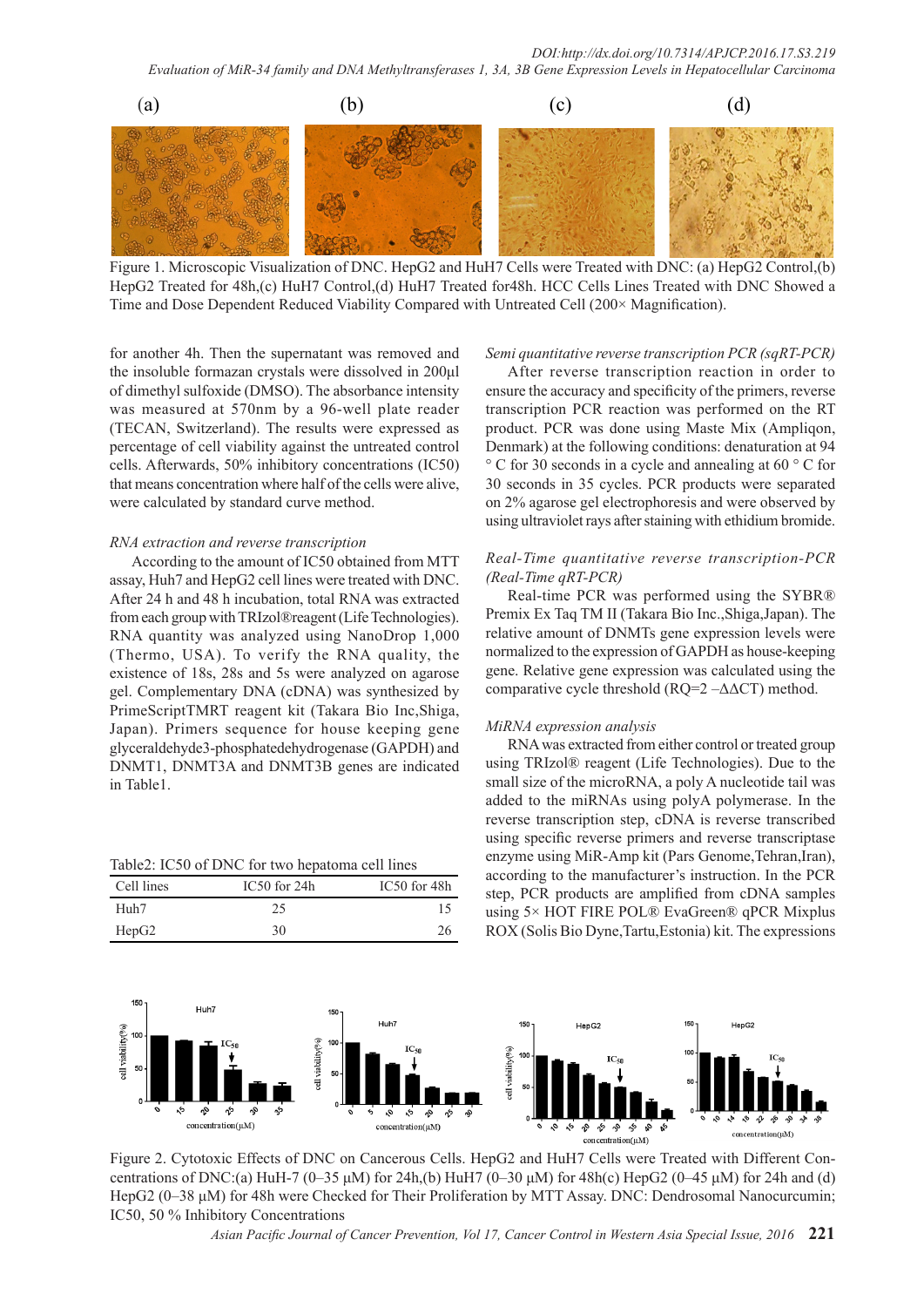*Evaluation of MiR-34 family and DNA Methyltransferases 1, 3A, 3B Gene Expression Levels in Hepatocellular Carcinoma*



Figure 1. Microscopic Visualization of DNC. HepG2 and HuH7 Cells were Treated with DNC: (a) HepG2 Control,(b) HepG2 Treated for 48h,(c) HuH7 Control,(d) HuH7 Treated for48h. HCC Cells Lines Treated with DNC Showed a Time and Dose Dependent Reduced Viability Compared with Untreated Cell (200× Magnification).

for another 4h. Then the supernatant was removed and the insoluble formazan crystals were dissolved in 200μl of dimethyl sulfoxide (DMSO). The absorbance intensity was measured at 570nm by a 96-well plate reader (TECAN, Switzerland). The results were expressed as percentage of cell viability against the untreated control cells. Afterwards, 50% inhibitory concentrations (IC50) that means concentration where half of the cells were alive, were calculated by standard curve method.

#### *RNA extraction and reverse transcription*

According to the amount of IC50 obtained from MTT assay, Huh7 and HepG2 cell lines were treated with DNC. After 24 h and 48 h incubation, total RNA was extracted from each group with TRIzol®reagent (Life Technologies). RNA quantity was analyzed using NanoDrop 1,000 (Thermo, USA). To verify the RNA quality, the existence of 18s, 28s and 5s were analyzed on agarose gel. Complementary DNA (cDNA) was synthesized by PrimeScriptTMRT reagent kit (Takara Bio Inc,Shiga, Japan). Primers sequence for house keeping gene glyceraldehyde3-phosphatedehydrogenase (GAPDH) and DNMT1, DNMT3A and DNMT3B genes are indicated in Table1.

Table2: IC50 of DNC for two hepatoma cell lines

| Cell lines | IC50 for 24h | IC50 for 48h |
|------------|--------------|--------------|
| Huh7       | 25           |              |
| HepG2      | 30           | 26           |

#### *Semi quantitative reverse transcription PCR (sqRT-PCR)*

After reverse transcription reaction in order to ensure the accuracy and specificity of the primers, reverse transcription PCR reaction was performed on the RT product. PCR was done using Maste Mix (Ampliqon, Denmark) at the following conditions: denaturation at 94 ° C for 30 seconds in a cycle and annealing at 60 ° C for 30 seconds in 35 cycles. PCR products were separated on 2% agarose gel electrophoresis and were observed by using ultraviolet rays after staining with ethidium bromide.

### *Real-Time quantitative reverse transcription-PCR (Real-Time qRT-PCR)*

Real-time PCR was performed using the SYBR® Premix Ex Taq TM II (Takara Bio Inc.,Shiga,Japan). The relative amount of DNMTs gene expression levels were normalized to the expression of GAPDH as house-keeping gene. Relative gene expression was calculated using the comparative cycle threshold ( $RQ=2 - \Delta \Delta CT$ ) method.

#### *MiRNA expression analysis*

RNA was extracted from either control or treated group using TRIzol® reagent (Life Technologies). Due to the small size of the microRNA, a poly A nucleotide tail was added to the miRNAs using polyA polymerase. In the reverse transcription step, cDNA is reverse transcribed using specific reverse primers and reverse transcriptase enzyme using MiR-Amp kit (Pars Genome, Tehran, Iran), according to the manufacturer's instruction. In the PCR step, PCR products are amplified from cDNA samples using 5× HOT FIRE POL® EvaGreen® qPCR Mixplus ROX (Solis Bio Dyne,Tartu,Estonia) kit. The expressions



Figure 2. Cytotoxic Effects of DNC on Cancerous Cells. HepG2 and HuH7 Cells were Treated with Different Concentrations of DNC:(a) HuH-7 (0–35 μM) for 24h,(b) HuH7 (0–30 μM) for 48h(c) HepG2 (0–45 μM) for 24h and (d) HepG2 (0–38 μM) for 48h were Checked for Their Proliferation by MTT Assay. DNC: Dendrosomal Nanocurcumin; IC50, 50 % Inhibitory Concentrations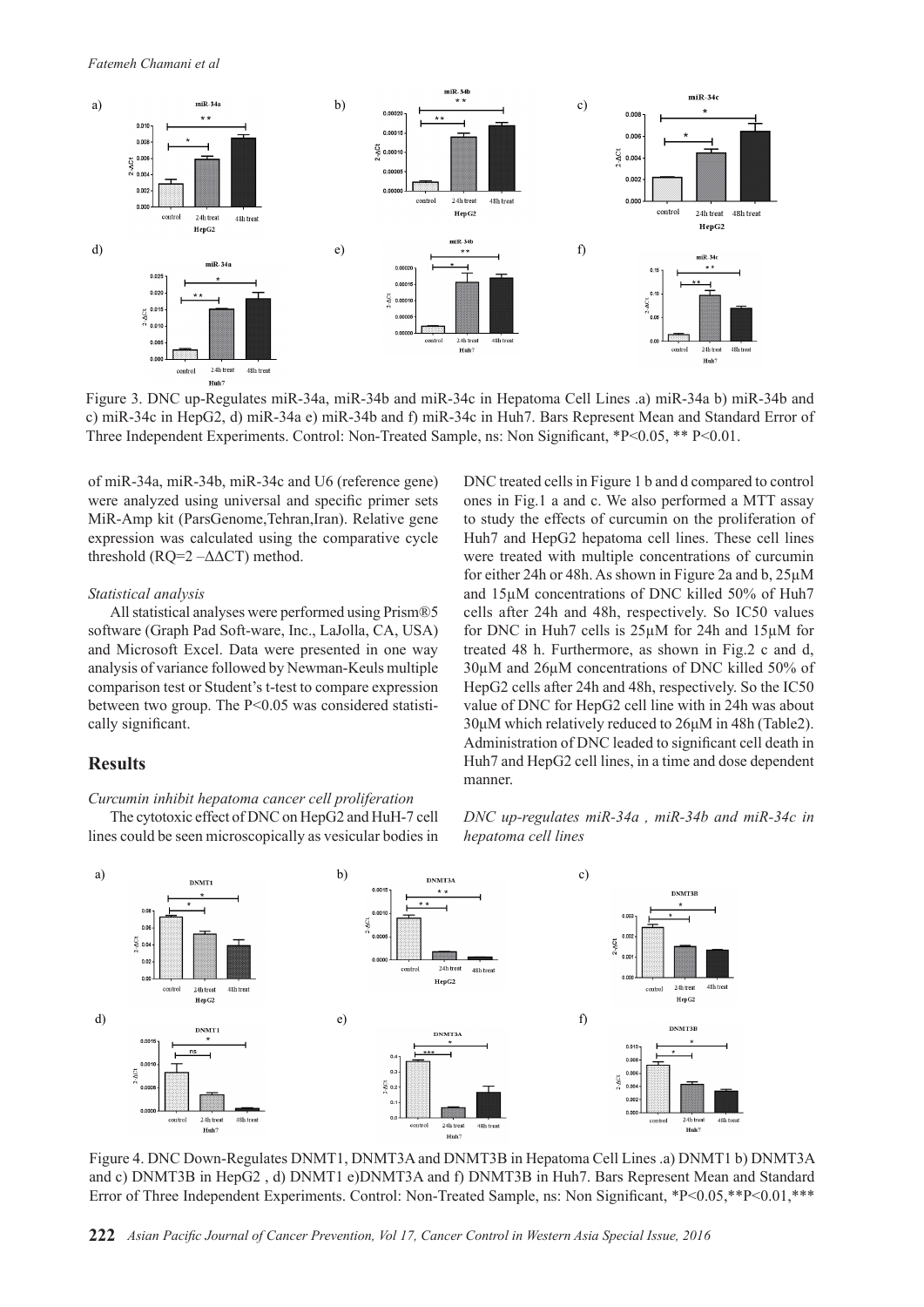*Fatemeh Chamani et al*



Figure 3. DNC up-Regulates miR-34a, miR-34b and miR-34c in Hepatoma Cell Lines .a) miR-34a b) miR-34b and c) miR-34c in HepG2, d) miR-34a e) miR-34b and f) miR-34c in Huh7. Bars Represent Mean and Standard Error of Three Independent Experiments. Control: Non-Treated Sample, ns: Non Significant, \*P<0.05, \*\* P<0.01.

of miR-34a, miR-34b, miR-34c and U6 (reference gene) were analyzed using universal and specific primer sets MiR-Amp kit (ParsGenome,Tehran,Iran). Relative gene expression was calculated using the comparative cycle threshold  $(RO=2 - \Delta \Delta CT)$  method.

#### *Statistical analysis*

All statistical analyses were performed using Prism®5 software (Graph Pad Soft-ware, Inc., LaJolla, CA, USA) and Microsoft Excel. Data were presented in one way analysis of variance followed by Newman-Keuls multiple comparison test or Student's t-test to compare expression between two group. The P<0.05 was considered statistically significant.

## **Results**

*Curcumin inhibit hepatoma cancer cell proliferation* The cytotoxic effect of DNC on HepG2 and HuH-7 cell lines could be seen microscopically as vesicular bodies in DNC treated cells in Figure 1 b and d compared to control ones in Fig.1 a and c. We also performed a MTT assay to study the effects of curcumin on the proliferation of Huh7 and HepG2 hepatoma cell lines. These cell lines were treated with multiple concentrations of curcumin for either 24h or 48h. As shown in Figure 2a and b, 25µM and 15µM concentrations of DNC killed 50% of Huh7 cells after 24h and 48h, respectively. So IC50 values for DNC in Huh7 cells is 25µM for 24h and 15µM for treated 48 h. Furthermore, as shown in Fig.2 c and d, 30µM and 26µM concentrations of DNC killed 50% of HepG2 cells after 24h and 48h, respectively. So the IC50 value of DNC for HepG2 cell line with in 24h was about 30μM which relatively reduced to 26μM in 48h (Table2). Administration of DNC leaded to significant cell death in Huh7 and HepG2 cell lines, in a time and dose dependent manner.

*DNC up-regulates miR-34a , miR-34b and miR-34c in hepatoma cell lines*



Figure 4. DNC Down-Regulates DNMT1, DNMT3A and DNMT3B in Hepatoma Cell Lines .a) DNMT1 b) DNMT3A and c) DNMT3B in HepG2 , d) DNMT1 e)DNMT3A and f) DNMT3B in Huh7. Bars Represent Mean and Standard Error of Three Independent Experiments. Control: Non-Treated Sample, ns: Non Significant, \*P<0.05,\*\*P<0.01,\*\*\*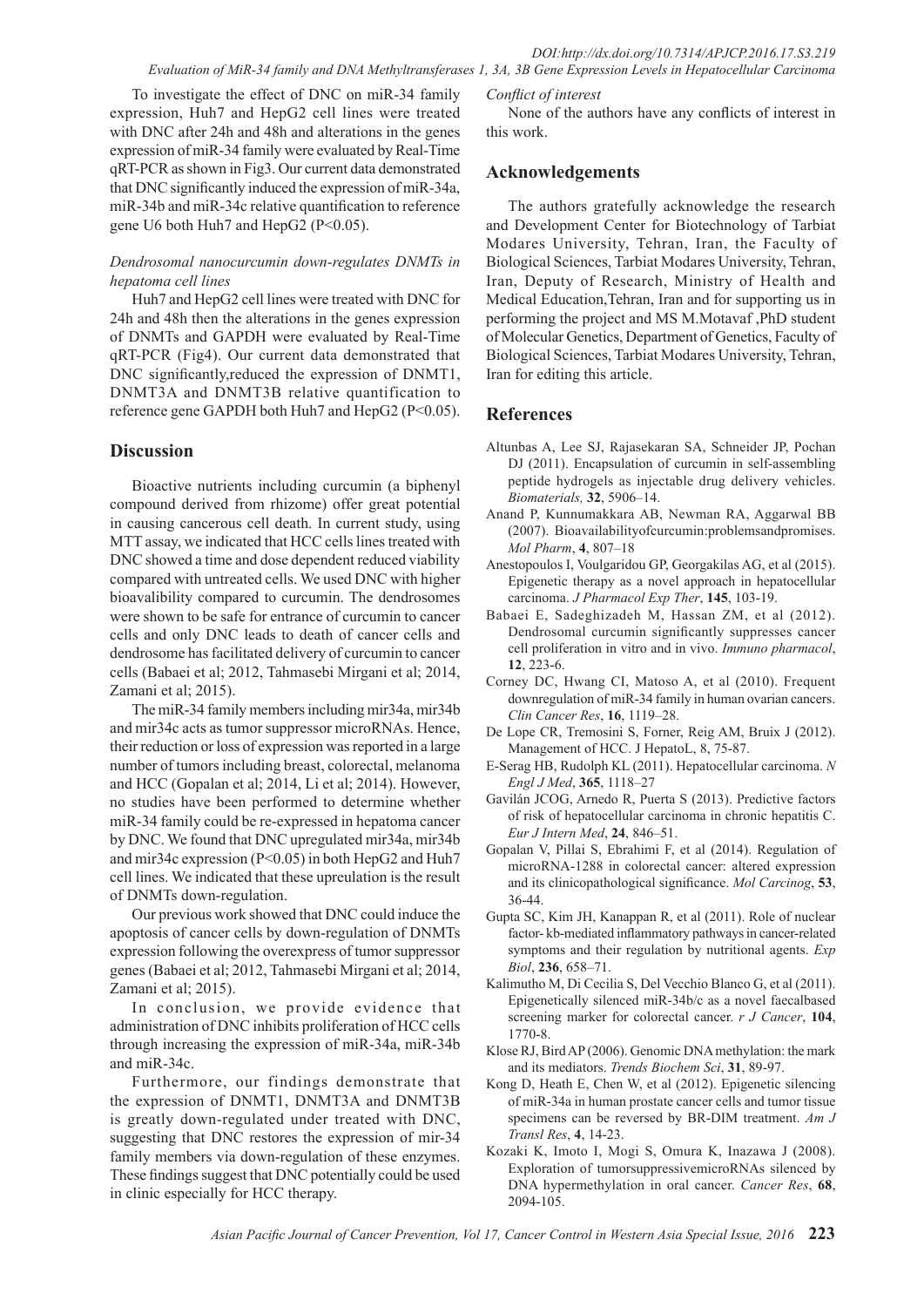### *DOI:http://dx.doi.org/10.7314/APJCP.2016.17.S3.219 Evaluation of MiR-34 family and DNA Methyltransferases 1, 3A, 3B Gene Expression Levels in Hepatocellular Carcinoma*

To investigate the effect of DNC on miR-34 family expression, Huh7 and HepG2 cell lines were treated with DNC after 24h and 48h and alterations in the genes expression of miR-34 family were evaluated by Real-Time qRT-PCR as shown in Fig3. Our current data demonstrated that DNC significantly induced the expression of miR-34a, miR-34b and miR-34c relative quantification to reference gene U6 both Huh7 and HepG2 (P<0.05).

## *Dendrosomal nanocurcumin down-regulates DNMTs in hepatoma cell lines*

Huh7 and HepG2 cell lines were treated with DNC for 24h and 48h then the alterations in the genes expression of DNMTs and GAPDH were evaluated by Real-Time qRT-PCR (Fig4). Our current data demonstrated that DNC significantly,reduced the expression of DNMT1, DNMT3A and DNMT3B relative quantification to reference gene GAPDH both Huh7 and HepG2 (P<0.05).

## **Discussion**

Bioactive nutrients including curcumin (a biphenyl compound derived from rhizome) offer great potential in causing cancerous cell death. In current study, using MTT assay, we indicated that HCC cells lines treated with DNC showed a time and dose dependent reduced viability compared with untreated cells. We used DNC with higher bioavalibility compared to curcumin. The dendrosomes were shown to be safe for entrance of curcumin to cancer cells and only DNC leads to death of cancer cells and dendrosome has facilitated delivery of curcumin to cancer cells (Babaei et al; 2012, Tahmasebi Mirgani et al; 2014, Zamani et al; 2015).

The miR-34 family members including mir34a, mir34b and mir34c acts as tumor suppressor microRNAs. Hence, their reduction or loss of expression was reported in a large number of tumors including breast, colorectal, melanoma and HCC (Gopalan et al; 2014, Li et al; 2014). However, no studies have been performed to determine whether miR-34 family could be re-expressed in hepatoma cancer by DNC. We found that DNC upregulated mir34a, mir34b and mir34c expression (P<0.05) in both HepG2 and Huh7 cell lines. We indicated that these upreulation is the result of DNMTs down-regulation.

Our previous work showed that DNC could induce the apoptosis of cancer cells by down-regulation of DNMTs expression following the overexpress of tumor suppressor genes (Babaei et al; 2012, Tahmasebi Mirgani et al; 2014, Zamani et al; 2015).

In conclusion, we provide evidence that administration of DNC inhibits proliferation of HCC cells through increasing the expression of miR-34a, miR-34b and miR-34c.

Furthermore, our findings demonstrate that the expression of DNMT1, DNMT3A and DNMT3B is greatly down-regulated under treated with DNC, suggesting that DNC restores the expression of mir-34 family members via down-regulation of these enzymes. These findings suggest that DNC potentially could be used in clinic especially for HCC therapy.

### *Conflict of interest*

None of the authors have any conflicts of interest in this work.

# **Acknowledgements**

The authors gratefully acknowledge the research and Development Center for Biotechnology of Tarbiat Modares University, Tehran, Iran, the Faculty of Biological Sciences, Tarbiat Modares University, Tehran, Iran, Deputy of Research, Ministry of Health and Medical Education,Tehran, Iran and for supporting us in performing the project and MS M.Motavaf ,PhD student of Molecular Genetics, Department of Genetics, Faculty of Biological Sciences, Tarbiat Modares University, Tehran, Iran for editing this article.

# **References**

- Altunbas A, Lee SJ, Rajasekaran SA, Schneider JP, Pochan DJ (2011). Encapsulation of curcumin in self-assembling peptide hydrogels as injectable drug delivery vehicles. *Biomaterials,* **32**, 5906–14.
- Anand P, Kunnumakkara AB, Newman RA, Aggarwal BB (2007). Bioavailabilityofcurcumin:problemsandpromises. *Mol Pharm*, **4**, 807–18
- Anestopoulos I, Voulgaridou GP, Georgakilas AG, et al (2015). Epigenetic therapy as a novel approach in hepatocellular carcinoma. *J Pharmacol Exp Ther*, **145**, 103-19.
- Babaei E, Sadeghizadeh M, Hassan ZM, et al (2012). Dendrosomal curcumin significantly suppresses cancer cell proliferation in vitro and in vivo. *Immuno pharmacol*, **12**, 223-6.
- Corney DC, Hwang CI, Matoso A, et al (2010). Frequent downregulation of miR-34 family in human ovarian cancers. *Clin Cancer Res*, **16**, 1119–28.
- De Lope CR, Tremosini S, Forner, Reig AM, Bruix J (2012). Management of HCC. J HepatoL, 8, 75-87.
- E-Serag HB, Rudolph KL (2011). Hepatocellular carcinoma. *N Engl J Med*, **365**, 1118–27
- Gavilán JCOG, Arnedo R, Puerta S (2013). Predictive factors of risk of hepatocellular carcinoma in chronic hepatitis C. *Eur J Intern Med*, **24**, 846–51.
- Gopalan V, Pillai S, Ebrahimi F, et al (2014). Regulation of microRNA-1288 in colorectal cancer: altered expression and its clinicopathological significance. *Mol Carcinog*, **53**, 36-44.
- Gupta SC, Kim JH, Kanappan R, et al (2011). Role of nuclear factor- kb-mediated inflammatory pathways in cancer-related symptoms and their regulation by nutritional agents. *Exp Biol*, **236**, 658–71.
- Kalimutho M, Di Cecilia S, Del Vecchio Blanco G, et al (2011). Epigenetically silenced miR-34b/c as a novel faecalbased screening marker for colorectal cancer. *r J Cancer*, **104**, 1770-8.
- Klose RJ, Bird AP (2006). Genomic DNA methylation: the mark and its mediators. *Trends Biochem Sci*, **31**, 89-97.
- Kong D, Heath E, Chen W, et al (2012). Epigenetic silencing of miR-34a in human prostate cancer cells and tumor tissue specimens can be reversed by BR-DIM treatment. *Am J Transl Res*, **4**, 14-23.
- Kozaki K, Imoto I, Mogi S, Omura K, Inazawa J (2008). Exploration of tumorsuppressivemicroRNAs silenced by DNA hypermethylation in oral cancer. *Cancer Res*, **68**, 2094-105.